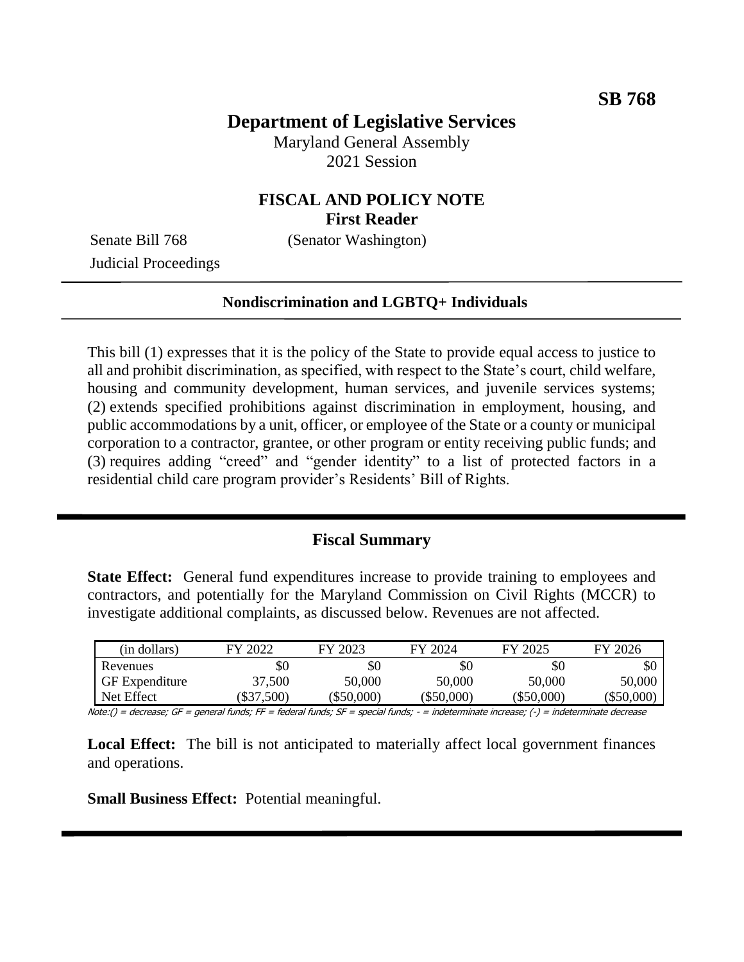## **Department of Legislative Services**

Maryland General Assembly 2021 Session

## **FISCAL AND POLICY NOTE First Reader**

Senate Bill 768 (Senator Washington)

Judicial Proceedings

#### **Nondiscrimination and LGBTQ+ Individuals**

This bill (1) expresses that it is the policy of the State to provide equal access to justice to all and prohibit discrimination, as specified, with respect to the State's court, child welfare, housing and community development, human services, and juvenile services systems; (2) extends specified prohibitions against discrimination in employment, housing, and public accommodations by a unit, officer, or employee of the State or a county or municipal corporation to a contractor, grantee, or other program or entity receiving public funds; and (3) requires adding "creed" and "gender identity" to a list of protected factors in a residential child care program provider's Residents' Bill of Rights.

#### **Fiscal Summary**

**State Effect:** General fund expenditures increase to provide training to employees and contractors, and potentially for the Maryland Commission on Civil Rights (MCCR) to investigate additional complaints, as discussed below. Revenues are not affected.

| (in dollars)          | FY 2022      | FY 2023      | FY 2024      | FY 2025      | FY 2026  |
|-----------------------|--------------|--------------|--------------|--------------|----------|
| Revenues              | \$0          | \$0          | \$0          | \$0          | \$0      |
| <b>GF</b> Expenditure | 37,500       | 50,000       | 50,000       | 50,000       | 50,000   |
| Net Effect            | $(\$37,500)$ | $(\$50,000)$ | $(\$50,000)$ | $(\$50,000)$ | \$50,000 |

Note:() = decrease; GF = general funds; FF = federal funds; SF = special funds; - = indeterminate increase; (-) = indeterminate decrease

**Local Effect:** The bill is not anticipated to materially affect local government finances and operations.

**Small Business Effect:** Potential meaningful.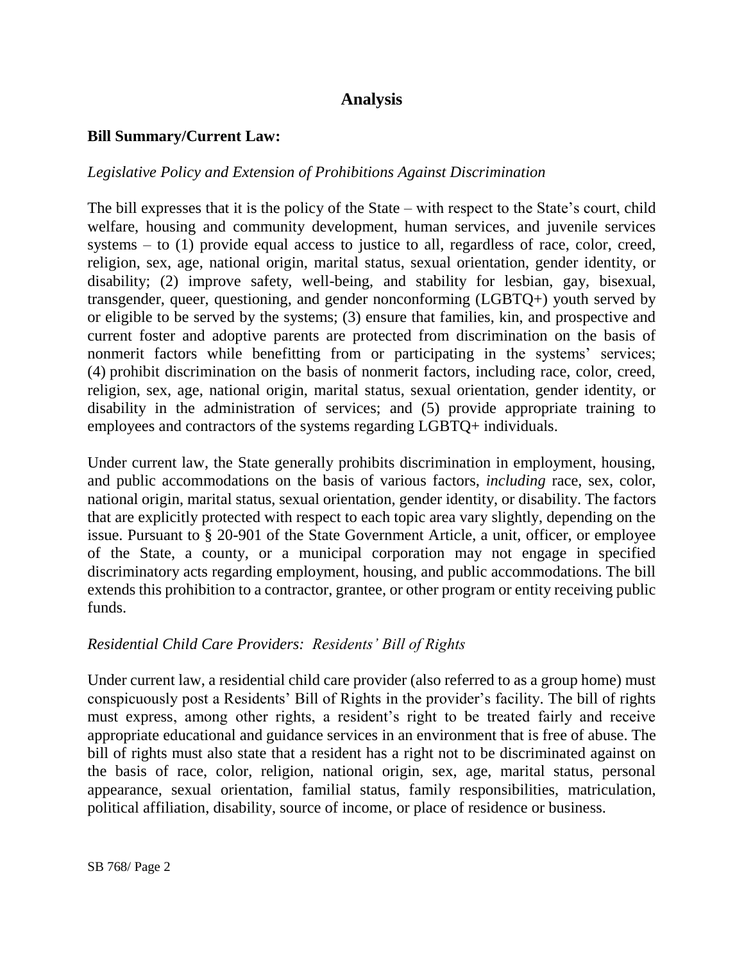# **Analysis**

### **Bill Summary/Current Law:**

#### *Legislative Policy and Extension of Prohibitions Against Discrimination*

The bill expresses that it is the policy of the State – with respect to the State's court, child welfare, housing and community development, human services, and juvenile services systems – to (1) provide equal access to justice to all, regardless of race, color, creed, religion, sex, age, national origin, marital status, sexual orientation, gender identity, or disability; (2) improve safety, well-being, and stability for lesbian, gay, bisexual, transgender, queer, questioning, and gender nonconforming (LGBTQ+) youth served by or eligible to be served by the systems; (3) ensure that families, kin, and prospective and current foster and adoptive parents are protected from discrimination on the basis of nonmerit factors while benefitting from or participating in the systems' services; (4) prohibit discrimination on the basis of nonmerit factors, including race, color, creed, religion, sex, age, national origin, marital status, sexual orientation, gender identity, or disability in the administration of services; and (5) provide appropriate training to employees and contractors of the systems regarding LGBTQ+ individuals.

Under current law, the State generally prohibits discrimination in employment, housing, and public accommodations on the basis of various factors, *including* race, sex, color, national origin, marital status, sexual orientation, gender identity, or disability. The factors that are explicitly protected with respect to each topic area vary slightly, depending on the issue. Pursuant to § 20-901 of the State Government Article, a unit, officer, or employee of the State, a county, or a municipal corporation may not engage in specified discriminatory acts regarding employment, housing, and public accommodations. The bill extends this prohibition to a contractor, grantee, or other program or entity receiving public funds.

## *Residential Child Care Providers: Residents' Bill of Rights*

Under current law, a residential child care provider (also referred to as a group home) must conspicuously post a Residents' Bill of Rights in the provider's facility. The bill of rights must express, among other rights, a resident's right to be treated fairly and receive appropriate educational and guidance services in an environment that is free of abuse. The bill of rights must also state that a resident has a right not to be discriminated against on the basis of race, color, religion, national origin, sex, age, marital status, personal appearance, sexual orientation, familial status, family responsibilities, matriculation, political affiliation, disability, source of income, or place of residence or business.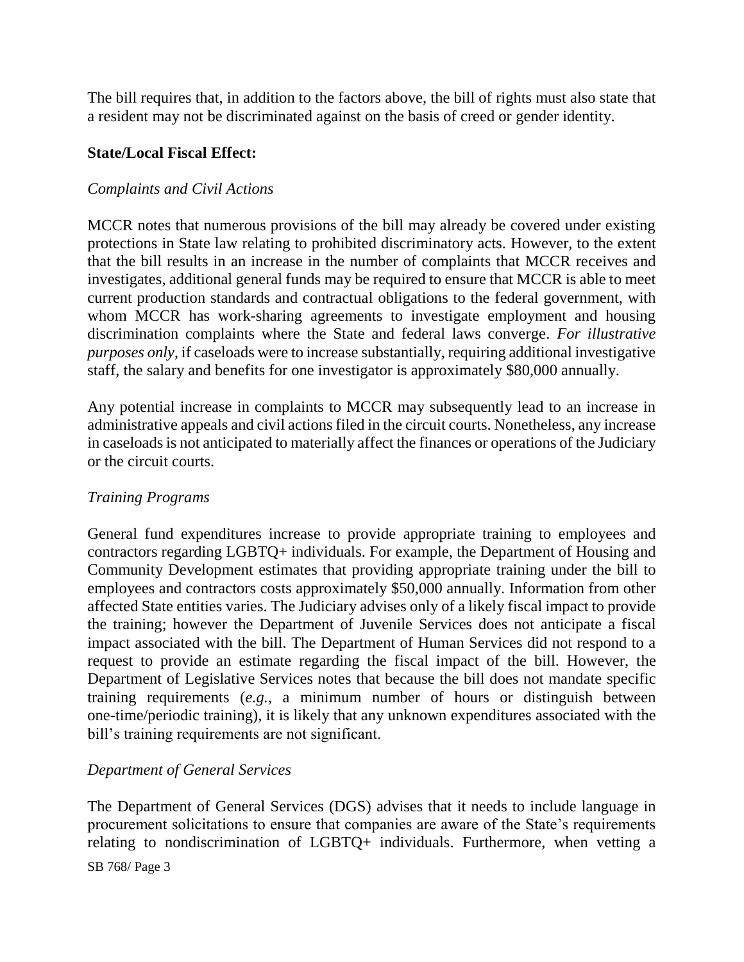The bill requires that, in addition to the factors above, the bill of rights must also state that a resident may not be discriminated against on the basis of creed or gender identity.

### **State/Local Fiscal Effect:**

#### *Complaints and Civil Actions*

MCCR notes that numerous provisions of the bill may already be covered under existing protections in State law relating to prohibited discriminatory acts. However, to the extent that the bill results in an increase in the number of complaints that MCCR receives and investigates, additional general funds may be required to ensure that MCCR is able to meet current production standards and contractual obligations to the federal government, with whom MCCR has work-sharing agreements to investigate employment and housing discrimination complaints where the State and federal laws converge. *For illustrative purposes only*, if caseloads were to increase substantially, requiring additional investigative staff, the salary and benefits for one investigator is approximately \$80,000 annually.

Any potential increase in complaints to MCCR may subsequently lead to an increase in administrative appeals and civil actions filed in the circuit courts. Nonetheless, any increase in caseloads is not anticipated to materially affect the finances or operations of the Judiciary or the circuit courts.

#### *Training Programs*

General fund expenditures increase to provide appropriate training to employees and contractors regarding LGBTQ+ individuals. For example, the Department of Housing and Community Development estimates that providing appropriate training under the bill to employees and contractors costs approximately \$50,000 annually. Information from other affected State entities varies. The Judiciary advises only of a likely fiscal impact to provide the training; however the Department of Juvenile Services does not anticipate a fiscal impact associated with the bill. The Department of Human Services did not respond to a request to provide an estimate regarding the fiscal impact of the bill. However, the Department of Legislative Services notes that because the bill does not mandate specific training requirements (*e.g.*, a minimum number of hours or distinguish between one-time/periodic training), it is likely that any unknown expenditures associated with the bill's training requirements are not significant.

## *Department of General Services*

The Department of General Services (DGS) advises that it needs to include language in procurement solicitations to ensure that companies are aware of the State's requirements relating to nondiscrimination of LGBTQ+ individuals. Furthermore, when vetting a

SB 768/ Page 3